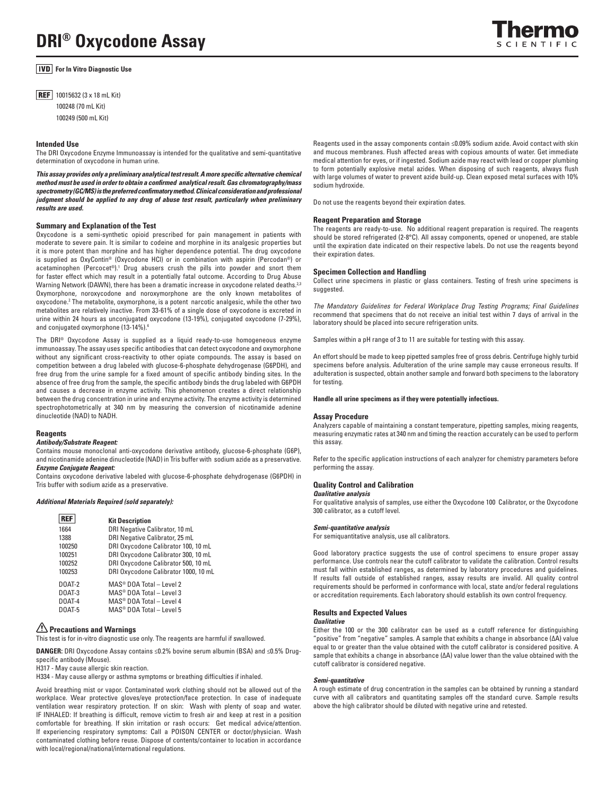# **DRI® Oxycodone Assay**

# **For In Vitro Diagnostic Use**

**REF** 10015632 (3 x 18 mL Kit) 100248 (70 mL Kit) 100249 (500 mL Kit)

# **Intended Use**

The DRI Oxycodone Enzyme Immunoassay is intended for the qualitative and semi-quantitative determination of oxycodone in human urine.

*This assay provides only a preliminary analytical test result. A more specific alternative chemical method must be used in order to obtain a confirmed analytical result. Gas chromatography/mass spectrometry (GC/MS) is the preferred confirmatory method. Clinical consideration and professional judgment should be applied to any drug of abuse test result, particularly when preliminary results are used.*

# **Summary and Explanation of the Test**

Oxycodone is a semi-synthetic opioid prescribed for pain management in patients with moderate to severe pain. It is similar to codeine and morphine in its analgesic properties but it is more potent than morphine and has higher dependence potential. The drug oxycodone is supplied as OxyContin® (Oxycodone HCl) or in combination with aspirin (Percodan®) or acetaminophen (Percocet®).<sup>1</sup> Drug abusers crush the pills into powder and snort them for faster effect which may result in a potentially fatal outcome. According to Drug Abuse Warning Network (DAWN), there has been a dramatic increase in oxycodone related deaths.<sup>2,3</sup> Oxymorphone, noroxycodone and noroxymorphone are the only known metabolites of oxycodone.<sup>2</sup> The metabolite, oxymorphone, is a potent narcotic analgesic, while the other two metabolites are relatively inactive. From 33-61% of a single dose of oxycodone is excreted in urine within 24 hours as unconjugated oxycodone (13-19%), conjugated oxycodone (7-29%), and conjugated oxymorphone (13-14%).4

The DRI® Oxycodone Assay is supplied as a liquid ready-to-use homogeneous enzyme immunoassay. The assay uses specific antibodies that can detect oxycodone and oxymorphone without any significant cross-reactivity to other opiate compounds. The assay is based on competition between a drug labeled with glucose-6-phosphate dehydrogenase (G6PDH), and free drug from the urine sample for a fixed amount of specific antibody binding sites. In the absence of free drug from the sample, the specific antibody binds the drug labeled with G6PDH and causes a decrease in enzyme activity. This phenomenon creates a direct relationship between the drug concentration in urine and enzyme activity. The enzyme activity is determined spectrophotometrically at 340 nm by measuring the conversion of nicotinamide adenine dinucleotide (NAD) to NADH.

#### **Reagents**

# *Antibody/Substrate Reagent:*

Contains mouse monoclonal anti-oxycodone derivative antibody, glucose-6-phosphate (G6P), and nicotinamide adenine dinucleotide (NAD) in Tris buffer with sodium azide as a preservative. *Enzyme Conjugate Reagent:* 

Contains oxycodone derivative labeled with glucose-6-phosphate dehydrogenase (G6PDH) in Tris buffer with sodium azide as a preservative.

#### *Additional Materials Required (sold separately):*

|        | <b>Kit Description</b>                   |
|--------|------------------------------------------|
| 1664   | DRI Negative Calibrator, 10 mL           |
| 1388   | DRI Negative Calibrator, 25 mL           |
| 100250 | DRI Oxycodone Calibrator 100, 10 mL      |
| 100251 | DRI Oxycodone Calibrator 300, 10 mL      |
| 100252 | DRI Oxycodone Calibrator 500, 10 mL      |
| 100253 | DRI Oxycodone Calibrator 1000, 10 mL     |
| DOAT-2 | $MAS^{\circledcirc}$ DOA Total - Level 2 |
| DOAT-3 | $MAS^{\circledcirc}$ DOA Total - Level 3 |
| DOAT-4 | MAS <sup>®</sup> DOA Total - Level 4     |
| DOAT-5 | $MAS^{\circledcirc}$ DOA Total – Level 5 |

# **Precautions and Warnings**

This test is for in-vitro diagnostic use only. The reagents are harmful if swallowed.

**DANGER:** DRI Oxycodone Assay contains ≤0.2% bovine serum albumin (BSA) and ≤0.5% Drugspecific antibody (Mouse).

H317 - May cause allergic skin reaction.

H334 - May cause allergy or asthma symptoms or breathing difficulties if inhaled.

Avoid breathing mist or vapor. Contaminated work clothing should not be allowed out of the workplace. Wear protective gloves/eye protection/face protection. In case of inadequate ventilation wear respiratory protection. If on skin: Wash with plenty of soap and water. IF INHALED: If breathing is difficult, remove victim to fresh air and keep at rest in a position comfortable for breathing. If skin irritation or rash occurs: Get medical advice/attention. If experiencing respiratory symptoms: Call a POISON CENTER or doctor/physician. Wash contaminated clothing before reuse. Dispose of contents/container to location in accordance with local/regional/national/international regulations.

Reagents used in the assay components contain ≤0.09% sodium azide. Avoid contact with skin and mucous membranes. Flush affected areas with copious amounts of water. Get immediate medical attention for eyes, or if ingested. Sodium azide may react with lead or copper plumbing to form potentially explosive metal azides. When disposing of such reagents, always flush with large volumes of water to prevent azide build-up. Clean exposed metal surfaces with 10% sodium hydroxide.

Do not use the reagents beyond their expiration dates.

# **Reagent Preparation and Storage**

The reagents are ready-to-use. No additional reagent preparation is required. The reagents should be stored refrigerated (2-8°C). All assay components, opened or unopened, are stable until the expiration date indicated on their respective labels. Do not use the reagents beyond their expiration dates.

#### **Specimen Collection and Handling**

Collect urine specimens in plastic or glass containers. Testing of fresh urine specimens is suggested.

*The Mandatory Guidelines for Federal Workplace Drug Testing Programs; Final Guidelines*  recommend that specimens that do not receive an initial test within 7 days of arrival in the laboratory should be placed into secure refrigeration units.

Samples within a pH range of 3 to 11 are suitable for testing with this assay.

An effort should be made to keep pipetted samples free of gross debris. Centrifuge highly turbid specimens before analysis. Adulteration of the urine sample may cause erroneous results. If adulteration is suspected, obtain another sample and forward both specimens to the laboratory for testing.

**Handle all urine specimens as if they were potentially infectious.** 

## **Assay Procedure**

Analyzers capable of maintaining a constant temperature, pipetting samples, mixing reagents, measuring enzymatic rates at 340 nm and timing the reaction accurately can be used to perform this assay.

Refer to the specific application instructions of each analyzer for chemistry parameters before performing the assay.

# **Quality Control and Calibration**

*Qualitative analysis*

For qualitative analysis of samples, use either the Oxycodone 100 Calibrator, or the Oxycodone 300 calibrator, as a cutoff level.

#### *Semi-quantitative analysis*

For semiquantitative analysis, use all calibrators.

Good laboratory practice suggests the use of control specimens to ensure proper assay performance. Use controls near the cutoff calibrator to validate the calibration. Control results must fall within established ranges, as determined by laboratory procedures and guidelines. If results fall outside of established ranges, assay results are invalid. All quality control requirements should be performed in conformance with local, state and/or federal regulations or accreditation requirements. Each laboratory should establish its own control frequency.

# **Results and Expected Values**

# *Qualitative*

Either the 100 or the 300 calibrator can be used as a cutoff reference for distinguishing "positive" from "negative" samples. A sample that exhibits a change in absorbance (∆A) value equal to or greater than the value obtained with the cutoff calibrator is considered positive. A sample that exhibits a change in absorbance (∆A) value lower than the value obtained with the cutoff calibrator is considered negative.

# *Semi-quantitative*

A rough estimate of drug concentration in the samples can be obtained by running a standard curve with all calibrators and quantitating samples off the standard curve. Sample results above the high calibrator should be diluted with negative urine and retested.

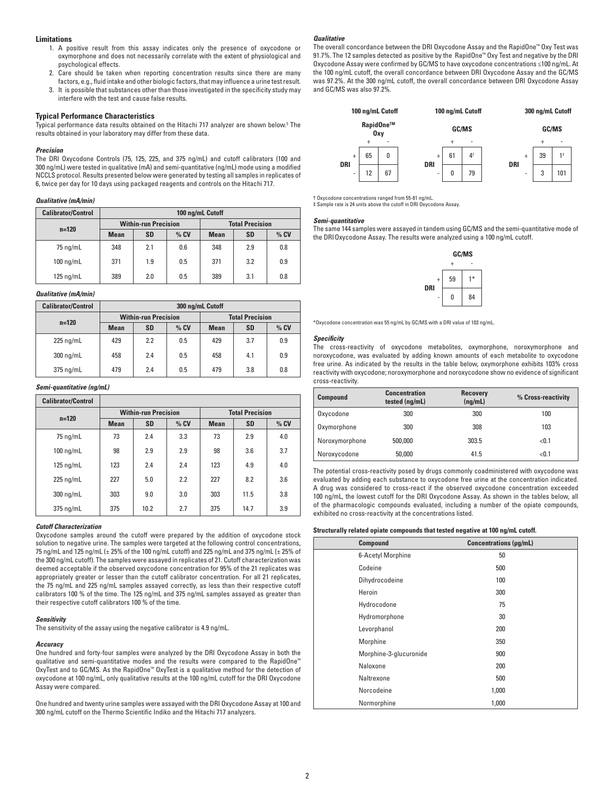# **Limitations**

- 1. A positive result from this assay indicates only the presence of oxycodone or oxymorphone and does not necessarily correlate with the extent of physiological and psychological effects.
- 2. Care should be taken when reporting concentration results since there are many
- factors, e.g., fluid intake and other biologic factors, that may influence a urine test result. 3. It is possible that substances other than those investigated in the specificity study may interfere with the test and cause false results.

# **Typical Performance Characteristics**

Typical performance data results obtained on the Hitachi 717 analyzer are shown below.<sup>5</sup> The results obtained in your laboratory may differ from these data.

#### *Precision*

The DRI Oxycodone Controls (75, 125, 225, and 375 ng/mL) and cutoff calibrators (100 and 300 ng/mL) were tested in qualitative (mA) and semi-quantitative (ng/mL) mode using a modified NCCLS protocol. Results presented below were generated by testing all samples in replicates of 6, twice per day for 10 days using packaged reagents and controls on the Hitachi 717.

# *Qualitative (mA/min)*

| <b>Calibrator/Control</b> | 100 ng/mL Cutoff            |           |        |                        |           |        |
|---------------------------|-----------------------------|-----------|--------|------------------------|-----------|--------|
| $n = 120$                 | <b>Within-run Precision</b> |           |        | <b>Total Precision</b> |           |        |
|                           | <b>Mean</b>                 | <b>SD</b> | $%$ CV | <b>Mean</b>            | <b>SD</b> | $%$ CV |
| 75 ng/mL                  | 348                         | 2.1       | 0.6    | 348                    | 2.9       | 0.8    |
| $100 \text{ nq/mL}$       | 371                         | 1.9       | 0.5    | 371                    | 3.2       | 0.9    |
| $125 \text{ nq/mL}$       | 389                         | 2.0       | 0.5    | 389                    | 3.1       | 0.8    |

# *Qualitative (mA/min)*

| <b>Calibrator/Control</b> | 300 ng/mL Cutoff            |           |        |                        |           |        |
|---------------------------|-----------------------------|-----------|--------|------------------------|-----------|--------|
| $n = 120$                 | <b>Within-run Precision</b> |           |        | <b>Total Precision</b> |           |        |
|                           | <b>Mean</b>                 | <b>SD</b> | $%$ CV | <b>Mean</b>            | <b>SD</b> | $%$ CV |
| $225 \nmid m/L$           | 429                         | 2.2       | 0.5    | 429                    | 3.7       | 0.9    |
| 300 ng/mL                 | 458                         | 2.4       | 0.5    | 458                    | 4.1       | 0.9    |
| $375$ ng/mL               | 479                         | 2.4       | 0.5    | 479                    | 3.8       | 0.8    |

# *Semi-quantitative (ng/mL)*

| <b>Calibrator/Control</b> |                             |           |        |                        |           |        |
|---------------------------|-----------------------------|-----------|--------|------------------------|-----------|--------|
| $n = 120$                 | <b>Within-run Precision</b> |           |        | <b>Total Precision</b> |           |        |
|                           | <b>Mean</b>                 | <b>SD</b> | $%$ CV | <b>Mean</b>            | <b>SD</b> | $%$ CV |
| 75 ng/mL                  | 73                          | 2.4       | 3.3    | 73                     | 2.9       | 4.0    |
| $100 \text{ nq/mL}$       | 98                          | 2.9       | 2.9    | 98                     | 3.6       | 3.7    |
| $125 \text{ nq/mL}$       | 123                         | 2.4       | 2.4    | 123                    | 4.9       | 4.0    |
| $225$ ng/mL               | 227                         | 5.0       | 2.2    | 227                    | 8.2       | 3.6    |
| 300 ng/mL                 | 303                         | 9.0       | 3.0    | 303                    | 11.5      | 3.8    |
| 375 ng/mL                 | 375                         | 10.2      | 2.7    | 375                    | 14.7      | 3.9    |

# *Cutoff Characterization*

Oxycodone samples around the cutoff were prepared by the addition of oxycodone stock solution to negative urine. The samples were targeted at the following control concentrations, 75 ng/mL and 125 ng/mL (± 25% of the 100 ng/mL cutoff) and 225 ng/mL and 375 ng/mL (± 25% of the 300 ng/mL cutoff). The samples were assayed in replicates of 21. Cutoff characterization was deemed acceptable if the observed oxycodone concentration for 95% of the 21 replicates was appropriately greater or lesser than the cutoff calibrator concentration. For all 21 replicates, the 75 ng/mL and 225 ng/mL samples assayed correctly, as less than their respective cutoff calibrators 100 % of the time. The 125 ng/mL and 375 ng/mL samples assayed as greater than their respective cutoff calibrators 100 % of the time.

# *Sensitivity*

The sensitivity of the assay using the negative calibrator is 4.9 ng/mL.

# *Accuracy*

One hundred and forty-four samples were analyzed by the DRI Oxycodone Assay in both the qualitative and semi-quantitative modes and the results were compared to the RapidOne™ OxyTest and to GC/MS. As the RapidOne™ OxyTest is a qualitative method for the detection of oxycodone at 100 ng/mL, only qualitative results at the 100 ng/mL cutoff for the DRI Oxycodone Assay were compared.

One hundred and twenty urine samples were assayed with the DRI Oxycodone Assay at 100 and 300 ng/mL cutoff on the Thermo Scientific Indiko and the Hitachi 717 analyzers.

# *Qualitative*

The overall concordance between the DRI Oxycodone Assay and the RapidOne™ Oxy Test was 91.7%. The 12 samples detected as positive by the RapidOne™ Oxy Test and negative by the DRI Oxycodone Assay were confirmed by GC/MS to have oxycodone concentrations ≤100 ng/mL. At the 100 ng/mL cutoff, the overall concordance between DRI Oxycodone Assay and the GC/MS was 97.2%. At the 300 ng/mL cutoff, the overall concordance between DRI Oxycodone Assay and GC/MS was also 97.2%.



† Oxycodone concentrations ranged from 55-81 ng/mL. ‡ Sample rate is 24 units above the cutoff in DRI Oxycodone Assay.

# *Semi-quantitative*

The same 144 samples were assayed in tandem using GC/MS and the semi-quantitative mode of the DRIOxycodone Assay. The results were analyzed using a 100 ng/mL cutoff.



\*Oxycodone concentration was 55 ng/mL by GC/MS with a DRI value of 103 ng/mL.

#### *Specificity*

The cross-reactivity of oxycodone metabolites, oxymorphone, noroxymorphone and noroxycodone, was evaluated by adding known amounts of each metabolite to oxycodone free urine. As indicated by the results in the table below, oxymorphone exhibits 103% cross reactivity with oxycodone; noroxymorphone and noroxycodone show no evidence of significant cross-reactivity.

| <b>Compound</b> | <b>Concentration</b><br>tested (ng/mL) | <b>Recovery</b><br>(nq/mL) | % Cross-reactivity |
|-----------------|----------------------------------------|----------------------------|--------------------|
| Oxycodone       | 300                                    | 300                        | 100                |
| Oxymorphone     | 300                                    | 308                        | 103                |
| Noroxymorphone  | 500.000                                | 303.5                      | < 0.1              |
| Noroxycodone    | 50,000                                 | 41.5                       | < 0.1              |

The potential cross-reactivity posed by drugs commonly coadministered with oxycodone was evaluated by adding each substance to oxycodone free urine at the concentration indicated. A drug was considered to cross-react if the observed oxycodone concentration exceeded 100 ng/mL, the lowest cutoff for the DRI Oxycodone Assay. As shown in the tables below, all of the pharmacologic compounds evaluated, including a number of the opiate compounds, exhibited no cross-reactivity at the concentrations listed.

# **Structurally related opiate compounds that tested negative at 100 ng/mL cutoff.**

| Compound               | Concentrations (µg/mL) |
|------------------------|------------------------|
| 6-Acetyl Morphine      | 50                     |
| Codeine                | 500                    |
| Dihydrocodeine         | 100                    |
| Heroin                 | 300                    |
| Hydrocodone            | 75                     |
| Hydromorphone          | 30                     |
| Levorphanol            | 200                    |
| Morphine               | 350                    |
| Morphine-3-glucuronide | 900                    |
| Naloxone               | 200                    |
| Naltrexone             | 500                    |
| Norcodeine             | 1,000                  |
| Normorphine            | 1,000                  |